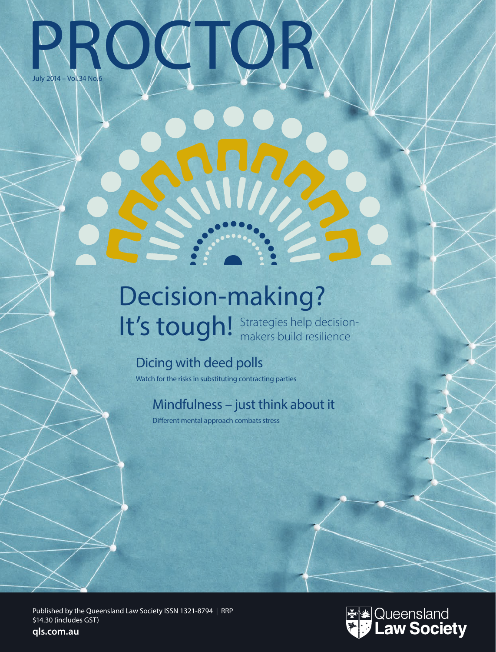# RROCTOR July 2014 **–** Vol.34 No.6

## Strategies help decision-It's tough! Strategies help decision Decision-making?

## Dicing with deed polls

Watch for the risks in substituting contracting parties

### Mindfulness – just think about it

Different mental approach combats stress

Published by the Queensland Law Society ISSN 1321-8794 | RRP \$14.30 (includes GST) **qls.com.au**

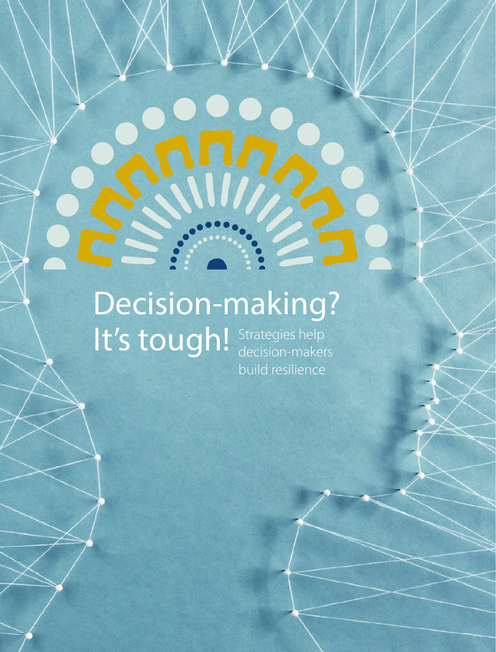## Strategies help decision-makers build resilience Decision-making? It's tough!

 $24$  Processes  $24$